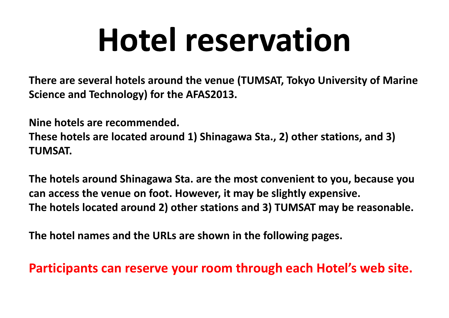# **Hotel reservation**

**There are several hotels around the venue (TUMSAT, Tokyo University of Marine Science and Technology) for the AFAS2013.**

**Nine hotels are recommended.**

**These hotels are located around 1) Shinagawa Sta., 2) other stations, and 3) TUMSAT.**

**The htl <sup>o</sup> <sup>e</sup> <sup>s</sup> around Shinagawa Sta. are the most conveni <sup>t</sup> en to you, because you can access the venue on foot. However, it may be slightly expensive. The hotels located around 2) other stations and 3) TUMSAT may be reasonable.**

**The hotel names and the URLs are shown in the following pages.**

**Participants can reserve your room through each Hotel's web site.**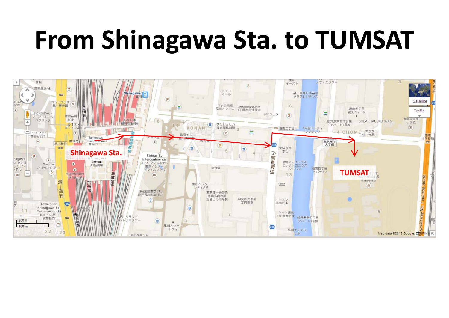#### **From Shinagawa Sta. to TUMSAT**

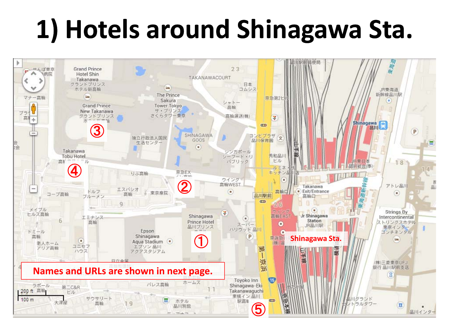### **1) Hotels around Shinagawa Sta.**

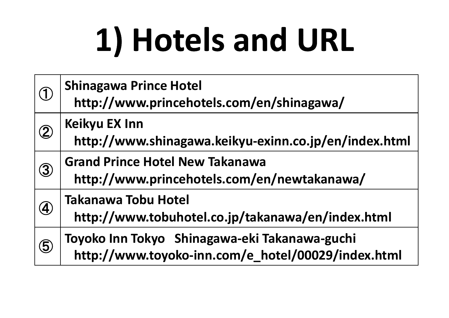# **1) Hotels and URL**

| $\bigcirc$        | <b>Shinagawa Prince Hotel</b><br>http://www.princehotels.com/en/shinagawa/                          |
|-------------------|-----------------------------------------------------------------------------------------------------|
| $\left( 2\right)$ | <b>Keikyu EX Inn</b><br>http://www.shinagawa.keikyu-exinn.co.jp/en/index.html                       |
| $\circled{3}$     | <b>Grand Prince Hotel New Takanawa</b><br>http://www.princehotels.com/en/newtakanawa/               |
| $\left( 4\right)$ | <b>Takanawa Tobu Hotel</b><br>http://www.tobuhotel.co.jp/takanawa/en/index.html                     |
| $\circledS$       | Toyoko Inn Tokyo Shinagawa-eki Takanawa-guchi<br>http://www.toyoko-inn.com/e_hotel/00029/index.html |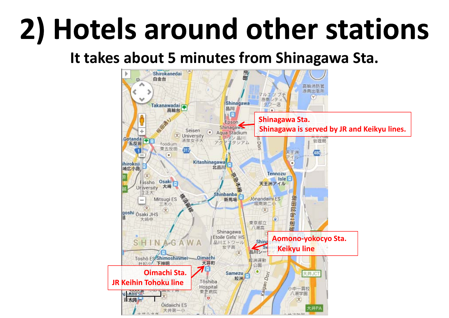## **2) Hotels around other stations**

#### **It takes about 5 minutes from Shinagawa Sta.**

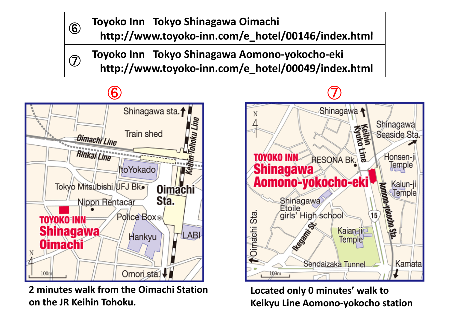**6 Toyoko Inn Tokyo Shinagawa Oimachi**<br>http://www.toyoko-inn.com/e\_hotel/00146/index.html

 $\odot$  | Toyoko Inn Tokyo Shinagawa Aomono-yokocho-eki<br>http://www.toyoko-inn.com/e\_hotel/00049/index.html

Shinagawa sta.1 Line **Train shed** onoku Oimachi Line Rinkai Line **ItoYokado** Tokyo Mitsubishi UFJ Bk. **Oimachi** Sta. Nippn Rentacar Police Box<sup>®</sup> TOYOKO=INN **Shinagawa** LABI Hankyu **Oimachi** Omori sta.  $100n$ 

**2 minutes walk from the Oimachi Station on the JR Keihin Tohoku.**



**Located only 0 minutes' walk to Keikyu Line Aomono‐yokocho station**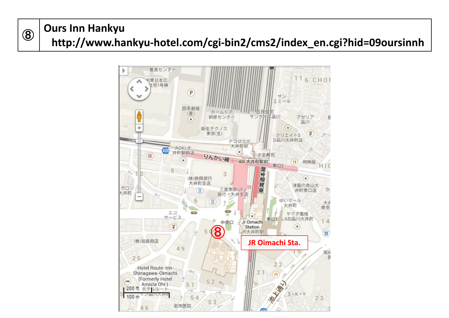#### <sup>⑧</sup> **Ours Inn Hankyu http://www.hankyu‐hotel.com/cgi‐bin2/cms2/index\_en.cgi?hid=09oursinnh**